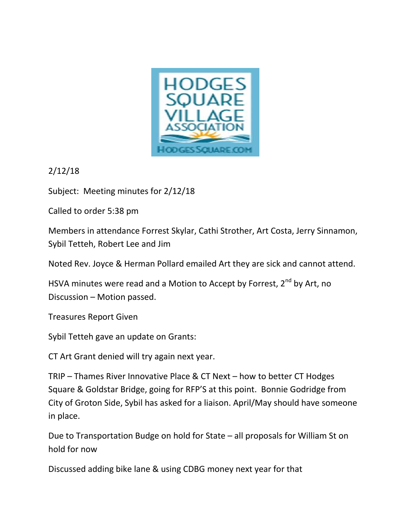

2/12/18

Subject: Meeting minutes for 2/12/18

Called to order 5:38 pm

Members in attendance Forrest Skylar, Cathi Strother, Art Costa, Jerry Sinnamon, Sybil Tetteh, Robert Lee and Jim

Noted Rev. Joyce & Herman Pollard emailed Art they are sick and cannot attend.

HSVA minutes were read and a Motion to Accept by Forrest, 2<sup>nd</sup> by Art, no Discussion – Motion passed.

Treasures Report Given

Sybil Tetteh gave an update on Grants:

CT Art Grant denied will try again next year.

TRIP – Thames River Innovative Place & CT Next – how to better CT Hodges Square & Goldstar Bridge, going for RFP'S at this point. Bonnie Godridge from City of Groton Side, Sybil has asked for a liaison. April/May should have someone in place.

Due to Transportation Budge on hold for State – all proposals for William St on hold for now

Discussed adding bike lane & using CDBG money next year for that